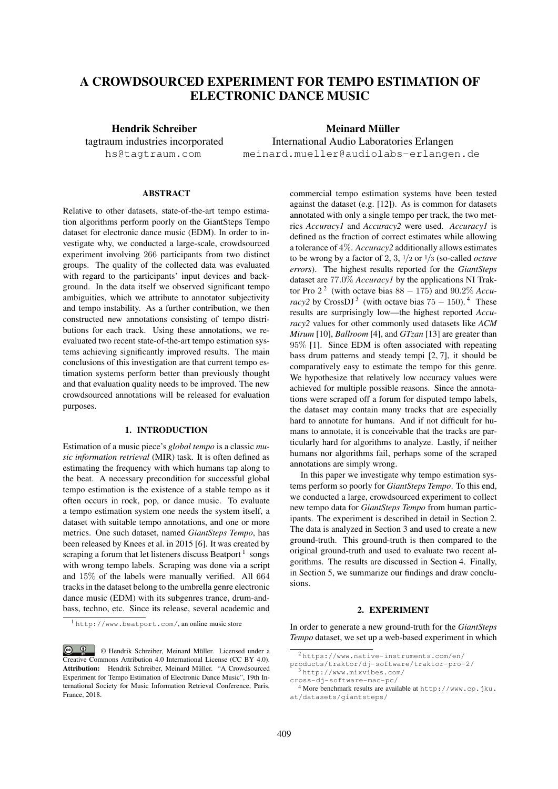# A CROWDSOURCED EXPERIMENT FOR TEMPO ESTIMATION OF ELECTRONIC DANCE MUSIC

Hendrik Schreiber tagtraum industries incorporated hs@tagtraum.com

Meinard Müller International Audio Laboratories Erlangen meinard.mueller@audiolabs-erlangen.de

# **ABSTRACT**

Relative to other datasets, state-of-the-art tempo estimation algorithms perform poorly on the GiantSteps Tempo dataset for electronic dance music (EDM). In order to investigate why, we conducted a large-scale, crowdsourced experiment involving 266 participants from two distinct groups. The quality of the collected data was evaluated with regard to the participants' input devices and background. In the data itself we observed significant tempo ambiguities, which we attribute to annotator subjectivity and tempo instability. As a further contribution, we then constructed new annotations consisting of tempo distributions for each track. Using these annotations, we reevaluated two recent state-of-the-art tempo estimation systems achieving significantly improved results. The main conclusions of this investigation are that current tempo estimation systems perform better than previously thought and that evaluation quality needs to be improved. The new crowdsourced annotations will be released for evaluation purposes.

# 1. INTRODUCTION

Estimation of a music piece's *global tempo* is a classic *music information retrieval* (MIR) task. It is often defined as estimating the frequency with which humans tap along to the beat. A necessary precondition for successful global tempo estimation is the existence of a stable tempo as it often occurs in rock, pop, or dance music. To evaluate a tempo estimation system one needs the system itself, a dataset with suitable tempo annotations, and one or more metrics. One such dataset, named *GiantSteps Tempo*, has been released by Knees et al. in 2015 [6]. It was created by scraping a forum that let listeners discuss Beatport<sup>1</sup> songs with wrong tempo labels. Scraping was done via a script and 15% of the labels were manually verified. All 664 tracks in the dataset belong to the umbrella genre electronic dance music (EDM) with its subgenres trance, drum-andbass, techno, etc. Since its release, several academic and

<sup>1</sup> http://www.beatport.com/, an online music store

commercial tempo estimation systems have been tested against the dataset (e.g. [12]). As is common for datasets annotated with only a single tempo per track, the two metrics *Accuracy1* and *Accuracy2* were used. *Accuracy1* is defined as the fraction of correct estimates while allowing a tolerance of 4%. *Accuracy2* additionally allows estimates to be wrong by a factor of 2, 3, <sup>1</sup>/<sup>2</sup> or <sup>1</sup>/<sup>3</sup> (so-called *octave errors*). The highest results reported for the *GiantSteps* dataset are 77.0% *Accuracy1* by the applications NI Traktor Pro  $2^2$  (with octave bias  $88 - 175$ ) and  $90.2\%$  *Accuracy2* by CrossDJ<sup>3</sup> (with octave bias  $75 - 150$ ).<sup>4</sup> These results are surprisingly low—the highest reported *Accuracy2* values for other commonly used datasets like *ACM Mirum* [10], *Ballroom* [4], and *GTzan* [13] are greater than 95% [1]. Since EDM is often associated with repeating bass drum patterns and steady tempi [2, 7], it should be comparatively easy to estimate the tempo for this genre. We hypothesize that relatively low accuracy values were achieved for multiple possible reasons. Since the annotations were scraped off a forum for disputed tempo labels, the dataset may contain many tracks that are especially hard to annotate for humans. And if not difficult for humans to annotate, it is conceivable that the tracks are particularly hard for algorithms to analyze. Lastly, if neither humans nor algorithms fail, perhaps some of the scraped annotations are simply wrong.

In this paper we investigate why tempo estimation systems perform so poorly for *GiantSteps Tempo*. To this end, we conducted a large, crowdsourced experiment to collect new tempo data for *GiantSteps Tempo* from human participants. The experiment is described in detail in Section 2. The data is analyzed in Section 3 and used to create a new ground-truth. This ground-truth is then compared to the original ground-truth and used to evaluate two recent algorithms. The results are discussed in Section 4. Finally, in Section 5, we summarize our findings and draw conclusions.

# 2. EXPERIMENT

In order to generate a new ground-truth for the *GiantSteps Tempo* dataset, we set up a web-based experiment in which

<sup>©</sup> Hendrik Schreiber, Meinard Muller. Licensed under a ¨ Creative Commons Attribution 4.0 International License (CC BY 4.0). Attribution: Hendrik Schreiber, Meinard Müller. "A Crowdsourced Experiment for Tempo Estimation of Electronic Dance Music", 19th International Society for Music Information Retrieval Conference, Paris, France, 2018.

<sup>2</sup> https://www.native-instruments.com/en/

products/traktor/dj-software/traktor-pro-2/ <sup>3</sup> http://www.mixvibes.com/

cross-dj-software-mac-pc/

<sup>&</sup>lt;sup>4</sup> More benchmark results are available at http://www.cp.jku. at/datasets/giantsteps/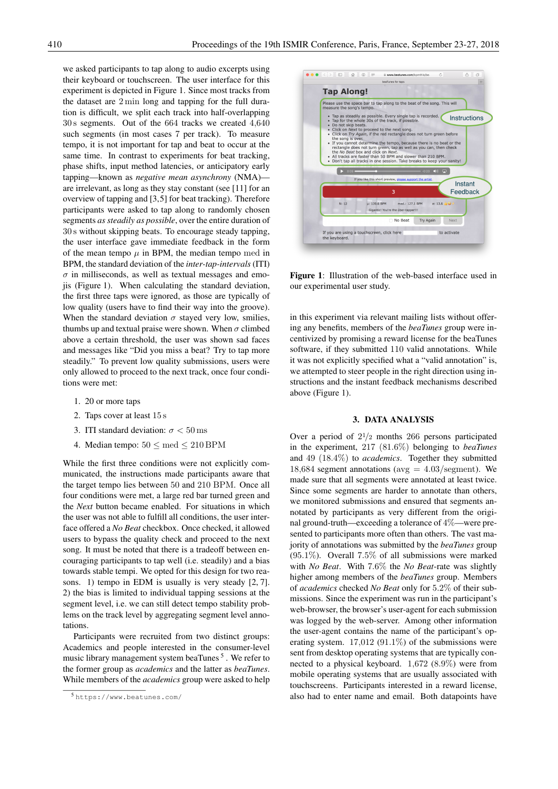we asked participants to tap along to audio excerpts using their keyboard or touchscreen. The user interface for this experiment is depicted in Figure 1. Since most tracks from the dataset are 2 min long and tapping for the full duration is difficult, we split each track into half-overlapping 30 s segments. Out of the 664 tracks we created 4,640 such segments (in most cases 7 per track). To measure tempo, it is not important for tap and beat to occur at the same time. In contrast to experiments for beat tracking, phase shifts, input method latencies, or anticipatory early tapping—known as *negative mean asynchrony* (NMA) are irrelevant, as long as they stay constant (see [11] for an overview of tapping and [3,5] for beat tracking). Therefore participants were asked to tap along to randomly chosen segments *as steadily as possible*, over the entire duration of 30 s without skipping beats. To encourage steady tapping, the user interface gave immediate feedback in the form of the mean tempo  $\mu$  in BPM, the median tempo med in BPM, the standard deviation of the *inter-tap-intervals*(ITI)  $\sigma$  in milliseconds, as well as textual messages and emojis (Figure 1). When calculating the standard deviation, the first three taps were ignored, as those are typically of low quality (users have to find their way into the groove). When the standard deviation  $\sigma$  stayed very low, smilies, thumbs up and textual praise were shown. When  $\sigma$  climbed above a certain threshold, the user was shown sad faces and messages like "Did you miss a beat? Try to tap more steadily." To prevent low quality submissions, users were only allowed to proceed to the next track, once four conditions were met:

- 1. 20 or more taps
- 2. Taps cover at least 15 s
- 3. ITI standard deviation:  $\sigma$  < 50 ms
- 4. Median tempo:  $50 \leq$  med  $\leq 210$  BPM

While the first three conditions were not explicitly communicated, the instructions made participants aware that the target tempo lies between 50 and 210 BPM. Once all four conditions were met, a large red bar turned green and the *Next* button became enabled. For situations in which the user was not able to fulfill all conditions, the user interface offered a *No Beat* checkbox. Once checked, it allowed users to bypass the quality check and proceed to the next song. It must be noted that there is a tradeoff between encouraging participants to tap well (i.e. steadily) and a bias towards stable tempi. We opted for this design for two reasons. 1) tempo in EDM is usually is very steady [2, 7]. 2) the bias is limited to individual tapping sessions at the segment level, i.e. we can still detect tempo stability problems on the track level by aggregating segment level annotations.

Participants were recruited from two distinct groups: Academics and people interested in the consumer-level music library management system beaTunes<sup>5</sup>. We refer to the former group as *academics* and the latter as *beaTunes*. While members of the *academics* group were asked to help



Figure 1: Illustration of the web-based interface used in our experimental user study.

in this experiment via relevant mailing lists without offering any benefits, members of the *beaTunes* group were incentivized by promising a reward license for the beaTunes software, if they submitted 110 valid annotations. While it was not explicitly specified what a "valid annotation" is, we attempted to steer people in the right direction using instructions and the instant feedback mechanisms described above (Figure 1).

## 3. DATA ANALYSIS

Over a period of  $2^{1/2}$  months 266 persons participated in the experiment, 217 (81.6%) belonging to *beaTunes* and 49 (18.4%) to *academics*. Together they submitted 18,684 segment annotations ( $avg = 4.03$ /segment). We made sure that all segments were annotated at least twice. Since some segments are harder to annotate than others, we monitored submissions and ensured that segments annotated by participants as very different from the original ground-truth—exceeding a tolerance of 4%—were presented to participants more often than others. The vast majority of annotations was submitted by the *beaTunes* group (95.1%). Overall 7.5% of all submissions were marked with *No Beat*. With 7.6% the *No Beat*-rate was slightly higher among members of the *beaTunes* group. Members of *academics* checked *No Beat* only for 5.2% of their submissions. Since the experiment was run in the participant's web-browser, the browser's user-agent for each submission was logged by the web-server. Among other information the user-agent contains the name of the participant's operating system.  $17.012$  (91.1%) of the submissions were sent from desktop operating systems that are typically connected to a physical keyboard. 1,672 (8.9%) were from mobile operating systems that are usually associated with touchscreens. Participants interested in a reward license, also had to enter name and email. Both datapoints have

<sup>5</sup> https://www.beatunes.com/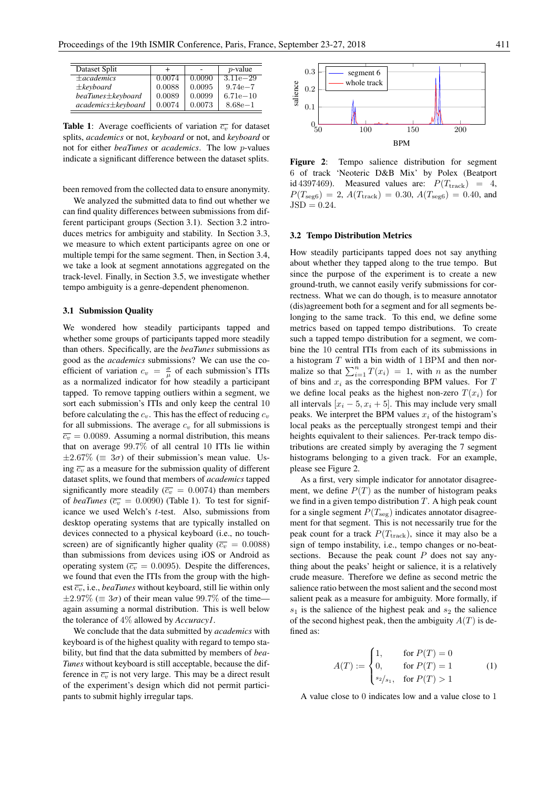| Dataset Split            | $\div$ |        | $p$ -value   |
|--------------------------|--------|--------|--------------|
| $\pm$ academics          | 0.0074 | 0.0090 | $3.11e - 29$ |
| $\pm$ keyboard           | 0.0088 | 0.0095 | $9.74e - 7$  |
| $beaTunes \pm keyboard$  | 0.0089 | 0.0099 | $6.71e - 10$ |
| $academics \pm kevboard$ | 0.0074 | 0.0073 | $8.68e - 1$  |

**Table 1:** Average coefficients of variation  $\overline{c_v}$  for dataset splits, *academics* or not, *keyboard* or not, and *keyboard* or not for either *beaTunes* or *academics*. The low p-values indicate a significant difference between the dataset splits.

been removed from the collected data to ensure anonymity.

We analyzed the submitted data to find out whether we can find quality differences between submissions from different participant groups (Section 3.1). Section 3.2 introduces metrics for ambiguity and stability. In Section 3.3, we measure to which extent participants agree on one or multiple tempi for the same segment. Then, in Section 3.4, we take a look at segment annotations aggregated on the track-level. Finally, in Section 3.5, we investigate whether tempo ambiguity is a genre-dependent phenomenon.

#### 3.1 Submission Quality

We wondered how steadily participants tapped and whether some groups of participants tapped more steadily than others. Specifically, are the *beaTunes* submissions as good as the *academics* submissions? We can use the coefficient of variation  $c_v = \frac{\sigma}{\mu}$  of each submission's ITIs as a normalized indicator for how steadily a participant tapped. To remove tapping outliers within a segment, we sort each submission's ITIs and only keep the central 10 before calculating the  $c_v$ . This has the effect of reducing  $c_v$ for all submissions. The average  $c_v$  for all submissions is  $\overline{c_v}$  = 0.0089. Assuming a normal distribution, this means that on average 99.7% of all central 10 ITIs lie within  $\pm 2.67\%$  ( $\equiv 3\sigma$ ) of their submission's mean value. Using  $\overline{c_v}$  as a measure for the submission quality of different dataset splits, we found that members of *academics* tapped significantly more steadily ( $\overline{c_v} = 0.0074$ ) than members of *beaTunes* ( $\overline{c_v}$  = 0.0090) (Table 1). To test for significance we used Welch's  $t$ -test. Also, submissions from desktop operating systems that are typically installed on devices connected to a physical keyboard (i.e., no touchscreen) are of significantly higher quality ( $\overline{c_v} = 0.0088$ ) than submissions from devices using iOS or Android as operating system ( $\overline{c_v}$  = 0.0095). Despite the differences, we found that even the ITIs from the group with the highest  $\overline{c_v}$ , i.e., *beaTunes* without keyboard, still lie within only  $\pm 2.97\%$  ( $\equiv 3\sigma$ ) of their mean value 99.7% of the timeagain assuming a normal distribution. This is well below the tolerance of 4% allowed by *Accuracy1*.

We conclude that the data submitted by *academics* with keyboard is of the highest quality with regard to tempo stability, but find that the data submitted by members of *bea-Tunes* without keyboard is still acceptable, because the difference in  $\overline{c_v}$  is not very large. This may be a direct result of the experiment's design which did not permit participants to submit highly irregular taps.



Figure 2: Tempo salience distribution for segment 6 of track 'Neoteric D&B Mix' by Polex (Beatport id 4397469). Measured values are:  $P(T_{\text{track}}) = 4$ ,  $P(T_{\text{seg6}}) = 2, A(T_{\text{track}}) = 0.30, A(T_{\text{seg6}}) = 0.40, \text{ and}$  $JSD = 0.24$ .

#### 3.2 Tempo Distribution Metrics

How steadily participants tapped does not say anything about whether they tapped along to the true tempo. But since the purpose of the experiment is to create a new ground-truth, we cannot easily verify submissions for correctness. What we can do though, is to measure annotator (dis)agreement both for a segment and for all segments belonging to the same track. To this end, we define some metrics based on tapped tempo distributions. To create such a tapped tempo distribution for a segment, we combine the 10 central ITIs from each of its submissions in a histogram  $T$  with a bin width of  $1$  BPM and then normalize so that  $\sum_{i=1}^{n} T(x_i) = 1$ , with n as the number of bins and  $x_i$  as the corresponding BPM values. For  $T$ we define local peaks as the highest non-zero  $T(x_i)$  for all intervals  $[x_i - 5, x_i + 5]$ . This may include very small peaks. We interpret the BPM values  $x_i$  of the histogram's local peaks as the perceptually strongest tempi and their heights equivalent to their saliences. Per-track tempo distributions are created simply by averaging the 7 segment histograms belonging to a given track. For an example, please see Figure 2.

As a first, very simple indicator for annotator disagreement, we define  $P(T)$  as the number of histogram peaks we find in a given tempo distribution  $T$ . A high peak count for a single segment  $P(T_{\text{seg}})$  indicates annotator disagreement for that segment. This is not necessarily true for the peak count for a track  $P(T_{\text{track}})$ , since it may also be a sign of tempo instability, i.e., tempo changes or no-beatsections. Because the peak count  $P$  does not say anything about the peaks' height or salience, it is a relatively crude measure. Therefore we define as second metric the salience ratio between the most salient and the second most salient peak as a measure for ambiguity. More formally, if  $s_1$  is the salience of the highest peak and  $s_2$  the salience of the second highest peak, then the ambiguity  $A(T)$  is defined as:

$$
A(T) := \begin{cases} 1, & \text{for } P(T) = 0 \\ 0, & \text{for } P(T) = 1 \\ s_2/s_1, & \text{for } P(T) > 1 \end{cases}
$$
 (1)

A value close to 0 indicates low and a value close to 1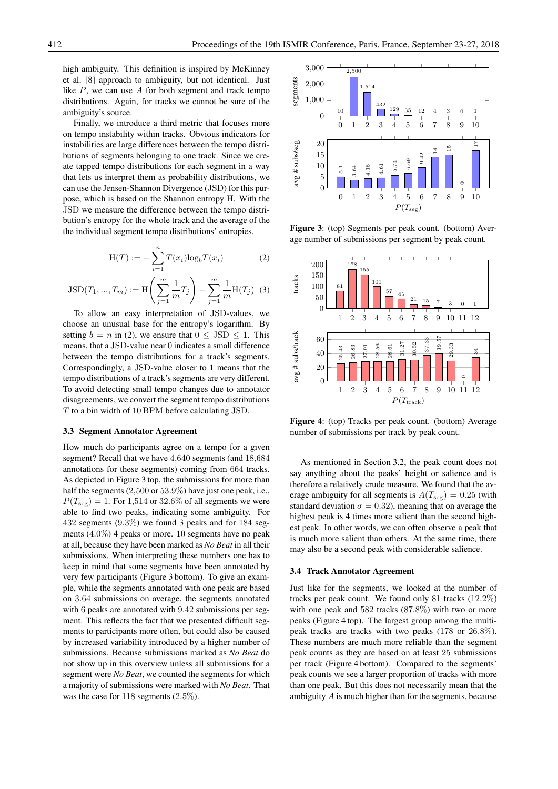high ambiguity. This definition is inspired by McKinney et al. [8] approach to ambiguity, but not identical. Just like  $P$ , we can use  $A$  for both segment and track tempo distributions. Again, for tracks we cannot be sure of the ambiguity's source.

Finally, we introduce a third metric that focuses more on tempo instability within tracks. Obvious indicators for instabilities are large differences between the tempo distributions of segments belonging to one track. Since we create tapped tempo distributions for each segment in a way that lets us interpret them as probability distributions, we can use the Jensen-Shannon Divergence (JSD) for this purpose, which is based on the Shannon entropy H. With the JSD we measure the difference between the tempo distribution's entropy for the whole track and the average of the the individual segment tempo distributions' entropies.

$$
H(T) := -\sum_{i=1}^{n} T(x_i) \log_b T(x_i)
$$
 (2)

$$
\text{JSD}(T_1, ..., T_m) := \text{H}\left(\sum_{j=1}^m \frac{1}{m} T_j\right) - \sum_{j=1}^m \frac{1}{m} \text{H}(T_j) \tag{3}
$$

To allow an easy interpretation of JSD-values, we choose an unusual base for the entropy's logarithm. By setting  $b = n$  in (2), we ensure that  $0 \leq JSD \leq 1$ . This means, that a JSD-value near 0 indicates a small difference between the tempo distributions for a track's segments. Correspondingly, a JSD-value closer to 1 means that the tempo distributions of a track's segments are very different. To avoid detecting small tempo changes due to annotator disagreements, we convert the segment tempo distributions T to a bin width of 10 BPM before calculating JSD.

# 3.3 Segment Annotator Agreement

How much do participants agree on a tempo for a given segment? Recall that we have 4,640 segments (and 18,684 annotations for these segments) coming from 664 tracks. As depicted in Figure 3 top, the submissions for more than half the segments (2,500 or 53.9%) have just one peak, i.e.,  $P(T_{\text{seg}}) = 1$ . For 1,514 or 32.6% of all segments we were able to find two peaks, indicating some ambiguity. For 432 segments (9.3%) we found 3 peaks and for 184 segments (4.0%) 4 peaks or more. 10 segments have no peak at all, because they have been marked as *No Beat* in all their submissions. When interpreting these numbers one has to keep in mind that some segments have been annotated by very few participants (Figure 3 bottom). To give an example, while the segments annotated with one peak are based on 3.64 submissions on average, the segments annotated with 6 peaks are annotated with 9.42 submissions per segment. This reflects the fact that we presented difficult segments to participants more often, but could also be caused by increased variability introduced by a higher number of submissions. Because submissions marked as *No Beat* do not show up in this overview unless all submissions for a segment were *No Beat*, we counted the segments for which a majority of submissions were marked with *No Beat*. That was the case for 118 segments (2.5%).



Figure 3: (top) Segments per peak count. (bottom) Average number of submissions per segment by peak count.



Figure 4: (top) Tracks per peak count. (bottom) Average number of submissions per track by peak count.

As mentioned in Section 3.2, the peak count does not say anything about the peaks' height or salience and is therefore a relatively crude measure. We found that the average ambiguity for all segments is  $\overline{A(T_{\text{seg}})} = 0.25$  (with standard deviation  $\sigma = 0.32$ ), meaning that on average the highest peak is 4 times more salient than the second highest peak. In other words, we can often observe a peak that is much more salient than others. At the same time, there may also be a second peak with considerable salience.

## 3.4 Track Annotator Agreement

Just like for the segments, we looked at the number of tracks per peak count. We found only 81 tracks (12.2%) with one peak and 582 tracks (87.8%) with two or more peaks (Figure 4 top). The largest group among the multipeak tracks are tracks with two peaks (178 or 26.8%). These numbers are much more reliable than the segment peak counts as they are based on at least 25 submissions per track (Figure 4 bottom). Compared to the segments' peak counts we see a larger proportion of tracks with more than one peak. But this does not necessarily mean that the ambiguity A is much higher than for the segments, because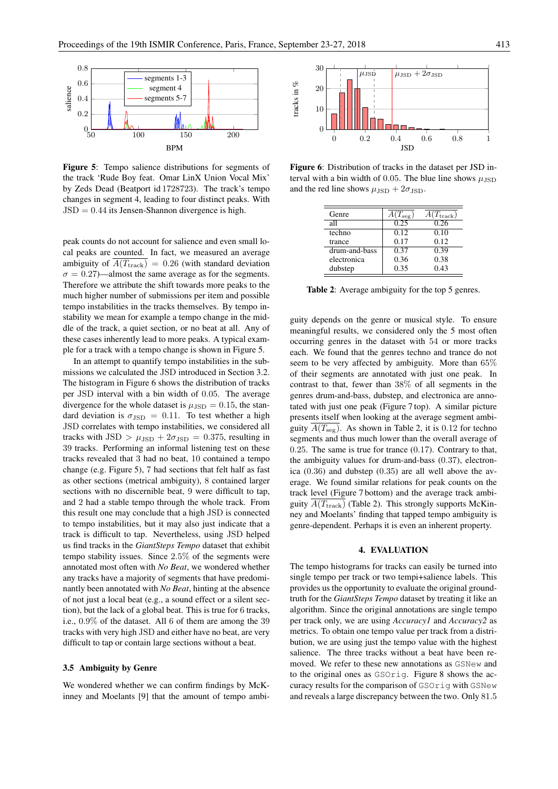

Figure 5: Tempo salience distributions for segments of the track 'Rude Boy feat. Omar LinX Union Vocal Mix' by Zeds Dead (Beatport id 1728723). The track's tempo changes in segment 4, leading to four distinct peaks. With  $JSD = 0.44$  its Jensen-Shannon divergence is high.

peak counts do not account for salience and even small local peaks are counted. In fact, we measured an average ambiguity of  $\overline{A(T_{\text{track}})}$  = 0.26 (with standard deviation  $\sigma = 0.27$ —almost the same average as for the segments. Therefore we attribute the shift towards more peaks to the much higher number of submissions per item and possible tempo instabilities in the tracks themselves. By tempo instability we mean for example a tempo change in the middle of the track, a quiet section, or no beat at all. Any of these cases inherently lead to more peaks. A typical example for a track with a tempo change is shown in Figure 5.

In an attempt to quantify tempo instabilities in the submissions we calculated the JSD introduced in Section 3.2. The histogram in Figure 6 shows the distribution of tracks per JSD interval with a bin width of 0.05. The average divergence for the whole dataset is  $\mu_{\text{JSD}} = 0.15$ , the standard deviation is  $\sigma_{\text{JSD}} = 0.11$ . To test whether a high JSD correlates with tempo instabilities, we considered all tracks with JSD  $> \mu_{\text{JSD}} + 2\sigma_{\text{JSD}} = 0.375$ , resulting in 39 tracks. Performing an informal listening test on these tracks revealed that 3 had no beat, 10 contained a tempo change (e.g. Figure 5), 7 had sections that felt half as fast as other sections (metrical ambiguity), 8 contained larger sections with no discernible beat, 9 were difficult to tap, and 2 had a stable tempo through the whole track. From this result one may conclude that a high JSD is connected to tempo instabilities, but it may also just indicate that a track is difficult to tap. Nevertheless, using JSD helped us find tracks in the *GiantSteps Tempo* dataset that exhibit tempo stability issues. Since 2.5% of the segments were annotated most often with *No Beat*, we wondered whether any tracks have a majority of segments that have predominantly been annotated with *No Beat*, hinting at the absence of not just a local beat (e.g., a sound effect or a silent section), but the lack of a global beat. This is true for 6 tracks, i.e., 0.9% of the dataset. All 6 of them are among the 39 tracks with very high JSD and either have no beat, are very difficult to tap or contain large sections without a beat.

## 3.5 Ambiguity by Genre

We wondered whether we can confirm findings by McKinney and Moelants [9] that the amount of tempo ambi-



Figure 6: Distribution of tracks in the dataset per JSD interval with a bin width of 0.05. The blue line shows  $\mu_{\text{JSD}}$ and the red line shows  $\mu_{\text{JSD}} + 2\sigma_{\text{JSD}}$ .

| Genre         | $A(T_{\text{seg}})$ | $A(T_{\text{track}})$ |
|---------------|---------------------|-----------------------|
| all           | 0.25                | 0.26                  |
| techno        | 0.12                | 0.10                  |
| trance        | 0.17                | 0.12                  |
| drum-and-bass | 0.37                | 0.39                  |
| electronica   | 0.36                | 0.38                  |
| dubstep       | 0.35                | 0.43                  |

Table 2: Average ambiguity for the top 5 genres.

guity depends on the genre or musical style. To ensure meaningful results, we considered only the 5 most often occurring genres in the dataset with 54 or more tracks each. We found that the genres techno and trance do not seem to be very affected by ambiguity. More than 65% of their segments are annotated with just one peak. In contrast to that, fewer than 38% of all segments in the genres drum-and-bass, dubstep, and electronica are annotated with just one peak (Figure 7 top). A similar picture presents itself when looking at the average segment ambiguity  $A(T_{\text{seg}})$ . As shown in Table 2, it is 0.12 for techno segments and thus much lower than the overall average of 0.25. The same is true for trance (0.17). Contrary to that, the ambiguity values for drum-and-bass (0.37), electronica (0.36) and dubstep (0.35) are all well above the average. We found similar relations for peak counts on the track level (Figure 7 bottom) and the average track ambiguity  $A(T_{\text{track}})$  (Table 2). This strongly supports McKinney and Moelants' finding that tapped tempo ambiguity is genre-dependent. Perhaps it is even an inherent property.

## 4. EVALUATION

The tempo histograms for tracks can easily be turned into single tempo per track or two tempi+salience labels. This provides us the opportunity to evaluate the original groundtruth for the *GiantSteps Tempo* dataset by treating it like an algorithm. Since the original annotations are single tempo per track only, we are using *Accuracy1* and *Accuracy2* as metrics. To obtain one tempo value per track from a distribution, we are using just the tempo value with the highest salience. The three tracks without a beat have been removed. We refer to these new annotations as GSNew and to the original ones as GSOrig. Figure 8 shows the accuracy results for the comparison of GSOrig with GSNew and reveals a large discrepancy between the two. Only 81.5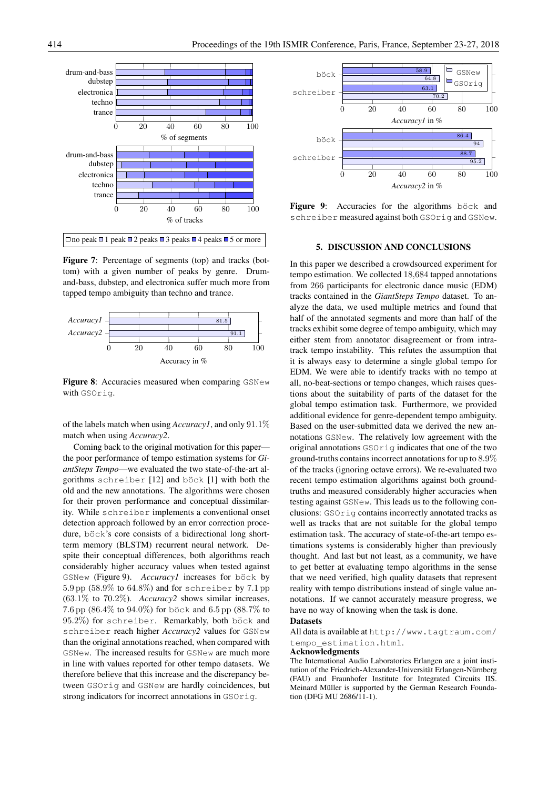

Figure 7: Percentage of segments (top) and tracks (bottom) with a given number of peaks by genre. Drumand-bass, dubstep, and electronica suffer much more from tapped tempo ambiguity than techno and trance.



Figure 8: Accuracies measured when comparing GSNew with GSOrig.

of the labels match when using *Accuracy1*, and only 91.1% match when using *Accuracy2*.

Coming back to the original motivation for this paper the poor performance of tempo estimation systems for *GiantSteps Tempo*—we evaluated the two state-of-the-art algorithms schreiber  $[12]$  and böck  $[1]$  with both the old and the new annotations. The algorithms were chosen for their proven performance and conceptual dissimilarity. While schreiber implements a conventional onset detection approach followed by an error correction procedure, böck's core consists of a bidirectional long shortterm memory (BLSTM) recurrent neural network. Despite their conceptual differences, both algorithms reach considerably higher accuracy values when tested against GSNew (Figure 9). *Accuracyl* increases for böck by 5.9 pp (58.9% to 64.8%) and for schreiber by 7.1 pp (63.1% to 70.2%). *Accuracy2* shows similar increases, 7.6 pp (86.4% to 94.0%) for böck and 6.5 pp (88.7% to 95.2%) for schreiber. Remarkably, both böck and schreiber reach higher *Accuracy2* values for GSNew than the original annotations reached, when compared with GSNew. The increased results for GSNew are much more in line with values reported for other tempo datasets. We therefore believe that this increase and the discrepancy between GSOrig and GSNew are hardly coincidences, but strong indicators for incorrect annotations in GSOrig.



Figure 9: Accuracies for the algorithms böck and schreiber measured against both GSOrig and GSNew.

#### 5. DISCUSSION AND CONCLUSIONS

In this paper we described a crowdsourced experiment for tempo estimation. We collected 18,684 tapped annotations from 266 participants for electronic dance music (EDM) tracks contained in the *GiantSteps Tempo* dataset. To analyze the data, we used multiple metrics and found that half of the annotated segments and more than half of the tracks exhibit some degree of tempo ambiguity, which may either stem from annotator disagreement or from intratrack tempo instability. This refutes the assumption that it is always easy to determine a single global tempo for EDM. We were able to identify tracks with no tempo at all, no-beat-sections or tempo changes, which raises questions about the suitability of parts of the dataset for the global tempo estimation task. Furthermore, we provided additional evidence for genre-dependent tempo ambiguity. Based on the user-submitted data we derived the new annotations GSNew. The relatively low agreement with the original annotations GSOrig indicates that one of the two ground-truths contains incorrect annotations for up to 8.9% of the tracks (ignoring octave errors). We re-evaluated two recent tempo estimation algorithms against both groundtruths and measured considerably higher accuracies when testing against GSNew. This leads us to the following conclusions: GSOrig contains incorrectly annotated tracks as well as tracks that are not suitable for the global tempo estimation task. The accuracy of state-of-the-art tempo estimations systems is considerably higher than previously thought. And last but not least, as a community, we have to get better at evaluating tempo algorithms in the sense that we need verified, high quality datasets that represent reality with tempo distributions instead of single value annotations. If we cannot accurately measure progress, we have no way of knowing when the task is done.

## **Datasets**

All data is available at http://www.tagtraum.com/ tempo\_estimation.html.

#### Acknowledgments

The International Audio Laboratories Erlangen are a joint institution of the Friedrich-Alexander-Universität Erlangen-Nürnberg (FAU) and Fraunhofer Institute for Integrated Circuits IIS. Meinard Müller is supported by the German Research Foundation (DFG MU 2686/11-1).